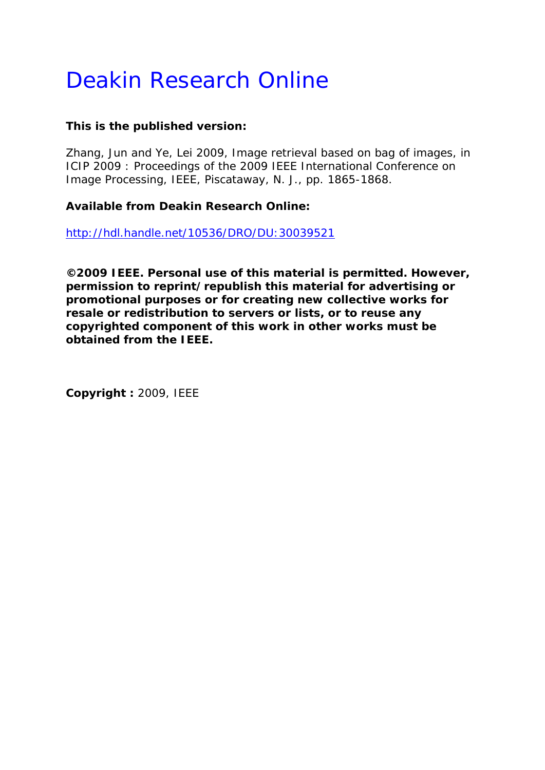# Deakin Research Online

# **This is the published version:**

Zhang, Jun and Ye, Lei 2009, Image retrieval based on bag of images*, in ICIP 2009 : Proceedings of the 2009 IEEE International Conference on Image Processing*, IEEE, Piscataway, N. J., pp. 1865-1868.

## **Available from Deakin Research Online:**

http://hdl.handle.net/10536/DRO/DU:30039521

**©2009 IEEE. Personal use of this material is permitted. However, permission to reprint/republish this material for advertising or promotional purposes or for creating new collective works for resale or redistribution to servers or lists, or to reuse any copyrighted component of this work in other works must be obtained from the IEEE.** 

**Copyright :** 2009, IEEE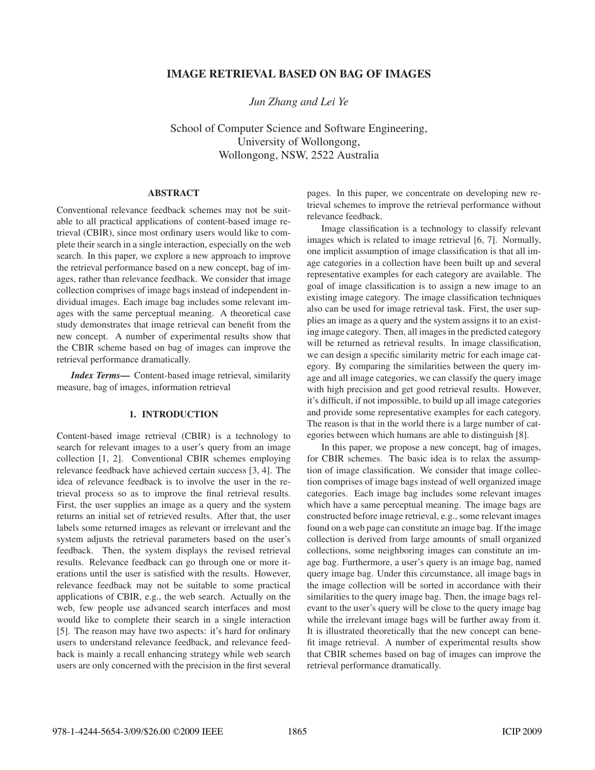### IMAGE RETRIEVAL BASED ON BAG OF IMAGES

*Jun Zhang and Lei Ye*

School of Computer Science and Software Engineering, University of Wollongong, Wollongong, NSW, 2522 Australia

## ABSTRACT

Conventional relevance feedback schemes may not be suitable to all practical applications of content-based image retrieval (CBIR), since most ordinary users would like to complete their search in a single interaction, especially on the web search. In this paper, we explore a new approach to improve the retrieval performance based on a new concept, bag of images, rather than relevance feedback. We consider that image collection comprises of image bags instead of independent individual images. Each image bag includes some relevant images with the same perceptual meaning. A theoretical case study demonstrates that image retrieval can benefit from the new concept. A number of experimental results show that the CBIR scheme based on bag of images can improve the retrieval performance dramatically.

*Index Terms*— Content-based image retrieval, similarity measure, bag of images, information retrieval

#### 1. INTRODUCTION

Content-based image retrieval (CBIR) is a technology to search for relevant images to a user's query from an image collection [1, 2]. Conventional CBIR schemes employing relevance feedback have achieved certain success [3, 4]. The idea of relevance feedback is to involve the user in the retrieval process so as to improve the final retrieval results. First, the user supplies an image as a query and the system returns an initial set of retrieved results. After that, the user labels some returned images as relevant or irrelevant and the system adjusts the retrieval parameters based on the user's feedback. Then, the system displays the revised retrieval results. Relevance feedback can go through one or more iterations until the user is satisfied with the results. However, relevance feedback may not be suitable to some practical applications of CBIR, e.g., the web search. Actually on the web, few people use advanced search interfaces and most would like to complete their search in a single interaction [5]. The reason may have two aspects: it's hard for ordinary users to understand relevance feedback, and relevance feedback is mainly a recall enhancing strategy while web search users are only concerned with the precision in the first several pages. In this paper, we concentrate on developing new retrieval schemes to improve the retrieval performance without relevance feedback.

Image classification is a technology to classify relevant images which is related to image retrieval [6, 7]. Normally, one implicit assumption of image classification is that all image categories in a collection have been built up and several representative examples for each category are available. The goal of image classification is to assign a new image to an existing image category. The image classification techniques also can be used for image retrieval task. First, the user supplies an image as a query and the system assigns it to an existing image category. Then, all images in the predicted category will be returned as retrieval results. In image classification, we can design a specific similarity metric for each image category. By comparing the similarities between the query image and all image categories, we can classify the query image with high precision and get good retrieval results. However, it's difficult, if not impossible, to build up all image categories and provide some representative examples for each category. The reason is that in the world there is a large number of categories between which humans are able to distinguish [8].

In this paper, we propose a new concept, bag of images, for CBIR schemes. The basic idea is to relax the assumption of image classification. We consider that image collection comprises of image bags instead of well organized image categories. Each image bag includes some relevant images which have a same perceptual meaning. The image bags are constructed before image retrieval, e.g., some relevant images found on a web page can constitute an image bag. If the image collection is derived from large amounts of small organized collections, some neighboring images can constitute an image bag. Furthermore, a user's query is an image bag, named query image bag. Under this circumstance, all image bags in the image collection will be sorted in accordance with their similarities to the query image bag. Then, the image bags relevant to the user's query will be close to the query image bag while the irrelevant image bags will be further away from it. It is illustrated theoretically that the new concept can benefit image retrieval. A number of experimental results show that CBIR schemes based on bag of images can improve the retrieval performance dramatically.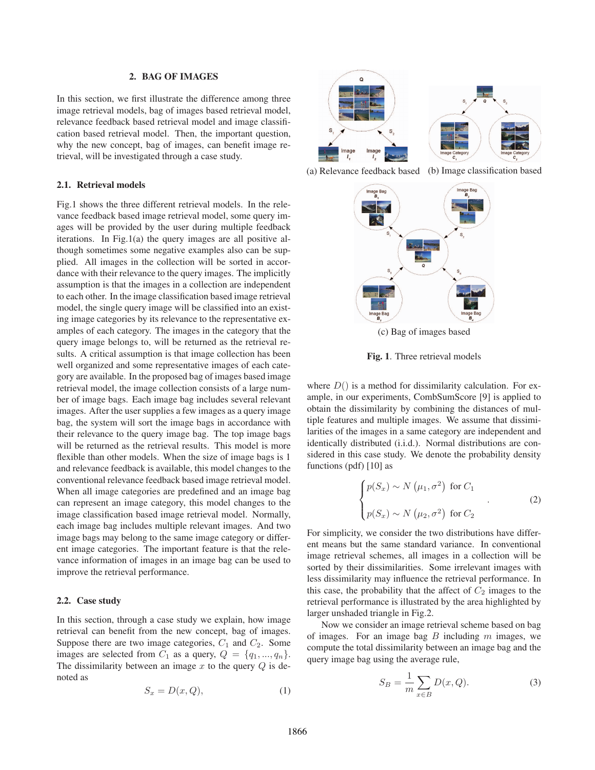#### 2. BAG OF IMAGES

In this section, we first illustrate the difference among three image retrieval models, bag of images based retrieval model, relevance feedback based retrieval model and image classification based retrieval model. Then, the important question, why the new concept, bag of images, can benefit image retrieval, will be investigated through a case study.

#### 2.1. Retrieval models

Fig.1 shows the three different retrieval models. In the relevance feedback based image retrieval model, some query images will be provided by the user during multiple feedback iterations. In Fig.1(a) the query images are all positive although sometimes some negative examples also can be supplied. All images in the collection will be sorted in accordance with their relevance to the query images. The implicitly assumption is that the images in a collection are independent to each other. In the image classification based image retrieval model, the single query image will be classified into an existing image categories by its relevance to the representative examples of each category. The images in the category that the query image belongs to, will be returned as the retrieval results. A critical assumption is that image collection has been well organized and some representative images of each category are available. In the proposed bag of images based image retrieval model, the image collection consists of a large number of image bags. Each image bag includes several relevant images. After the user supplies a few images as a query image bag, the system will sort the image bags in accordance with their relevance to the query image bag. The top image bags will be returned as the retrieval results. This model is more flexible than other models. When the size of image bags is 1 and relevance feedback is available, this model changes to the conventional relevance feedback based image retrieval model. When all image categories are predefined and an image bag can represent an image category, this model changes to the image classification based image retrieval model. Normally, each image bag includes multiple relevant images. And two image bags may belong to the same image category or different image categories. The important feature is that the relevance information of images in an image bag can be used to improve the retrieval performance.

#### 2.2. Case study

In this section, through a case study we explain, how image retrieval can benefit from the new concept, bag of images. Suppose there are two image categories,  $C_1$  and  $C_2$ . Some images are selected from  $C_1$  as a query,  $Q = \{q_1, ..., q_n\}.$ The dissimilarity between an image  $x$  to the query  $Q$  is denoted as

$$
S_x = D(x, Q), \tag{1}
$$



(a) Relevance feedback based (b) Image classification based



(c) Bag of images based

Fig. 1. Three retrieval models

where  $D()$  is a method for dissimilarity calculation. For example, in our experiments, CombSumScore [9] is applied to obtain the dissimilarity by combining the distances of multiple features and multiple images. We assume that dissimilarities of the images in a same category are independent and identically distributed (i.i.d.). Normal distributions are considered in this case study. We denote the probability density functions (pdf) [10] as

$$
\begin{cases}\np(S_x) \sim N(\mu_1, \sigma^2) & \text{for } C_1 \\
p(S_x) \sim N(\mu_2, \sigma^2) & \text{for } C_2\n\end{cases}
$$
\n(2)

For simplicity, we consider the two distributions have different means but the same standard variance. In conventional image retrieval schemes, all images in a collection will be sorted by their dissimilarities. Some irrelevant images with less dissimilarity may influence the retrieval performance. In this case, the probability that the affect of  $C_2$  images to the retrieval performance is illustrated by the area highlighted by larger unshaded triangle in Fig.2.

Now we consider an image retrieval scheme based on bag of images. For an image bag  $B$  including  $m$  images, we compute the total dissimilarity between an image bag and the query image bag using the average rule,

$$
S_B = \frac{1}{m} \sum_{x \in B} D(x, Q). \tag{3}
$$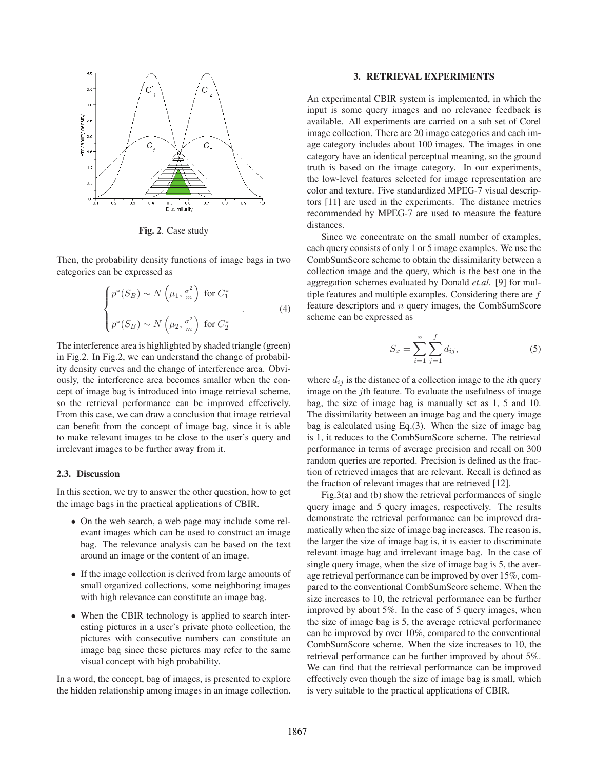

Fig. 2. Case study

Then, the probability density functions of image bags in two categories can be expressed as

$$
\begin{cases}\np^*(S_B) \sim N\left(\mu_1, \frac{\sigma^2}{m}\right) & \text{for } C_1^* \\
p^*(S_B) \sim N\left(\mu_2, \frac{\sigma^2}{m}\right) & \text{for } C_2^*\n\end{cases} \tag{4}
$$

The interference area is highlighted by shaded triangle (green) in Fig.2. In Fig.2, we can understand the change of probability density curves and the change of interference area. Obviously, the interference area becomes smaller when the concept of image bag is introduced into image retrieval scheme, so the retrieval performance can be improved effectively. From this case, we can draw a conclusion that image retrieval can benefit from the concept of image bag, since it is able to make relevant images to be close to the user's query and irrelevant images to be further away from it.

#### 2.3. Discussion

In this section, we try to answer the other question, how to get the image bags in the practical applications of CBIR.

- On the web search, a web page may include some relevant images which can be used to construct an image bag. The relevance analysis can be based on the text around an image or the content of an image.
- If the image collection is derived from large amounts of small organized collections, some neighboring images with high relevance can constitute an image bag.
- When the CBIR technology is applied to search interesting pictures in a user's private photo collection, the pictures with consecutive numbers can constitute an image bag since these pictures may refer to the same visual concept with high probability.

In a word, the concept, bag of images, is presented to explore the hidden relationship among images in an image collection.

#### 3. RETRIEVAL EXPERIMENTS

An experimental CBIR system is implemented, in which the input is some query images and no relevance feedback is available. All experiments are carried on a sub set of Corel image collection. There are 20 image categories and each image category includes about 100 images. The images in one category have an identical perceptual meaning, so the ground truth is based on the image category. In our experiments, the low-level features selected for image representation are color and texture. Five standardized MPEG-7 visual descriptors [11] are used in the experiments. The distance metrics recommended by MPEG-7 are used to measure the feature distances.

Since we concentrate on the small number of examples, each query consists of only 1 or 5 image examples. We use the CombSumScore scheme to obtain the dissimilarity between a collection image and the query, which is the best one in the aggregation schemes evaluated by Donald *et.al.* [9] for multiple features and multiple examples. Considering there are  $f$ feature descriptors and  $n$  query images, the CombSumScore scheme can be expressed as

$$
S_x = \sum_{i=1}^n \sum_{j=1}^f d_{ij},
$$
\n(5)

where  $d_{ij}$  is the distance of a collection image to the *i*th query image on the *j*th feature. To evaluate the usefulness of image bag, the size of image bag is manually set as 1, 5 and 10. The dissimilarity between an image bag and the query image bag is calculated using Eq.(3). When the size of image bag is 1, it reduces to the CombSumScore scheme. The retrieval performance in terms of average precision and recall on 300 random queries are reported. Precision is defined as the fraction of retrieved images that are relevant. Recall is defined as the fraction of relevant images that are retrieved [12].

Fig.3(a) and (b) show the retrieval performances of single query image and 5 query images, respectively. The results demonstrate the retrieval performance can be improved dramatically when the size of image bag increases. The reason is, the larger the size of image bag is, it is easier to discriminate relevant image bag and irrelevant image bag. In the case of single query image, when the size of image bag is 5, the average retrieval performance can be improved by over 15%, compared to the conventional CombSumScore scheme. When the size increases to 10, the retrieval performance can be further improved by about 5%. In the case of 5 query images, when the size of image bag is 5, the average retrieval performance can be improved by over 10%, compared to the conventional CombSumScore scheme. When the size increases to 10, the retrieval performance can be further improved by about 5%. We can find that the retrieval performance can be improved effectively even though the size of image bag is small, which is very suitable to the practical applications of CBIR.